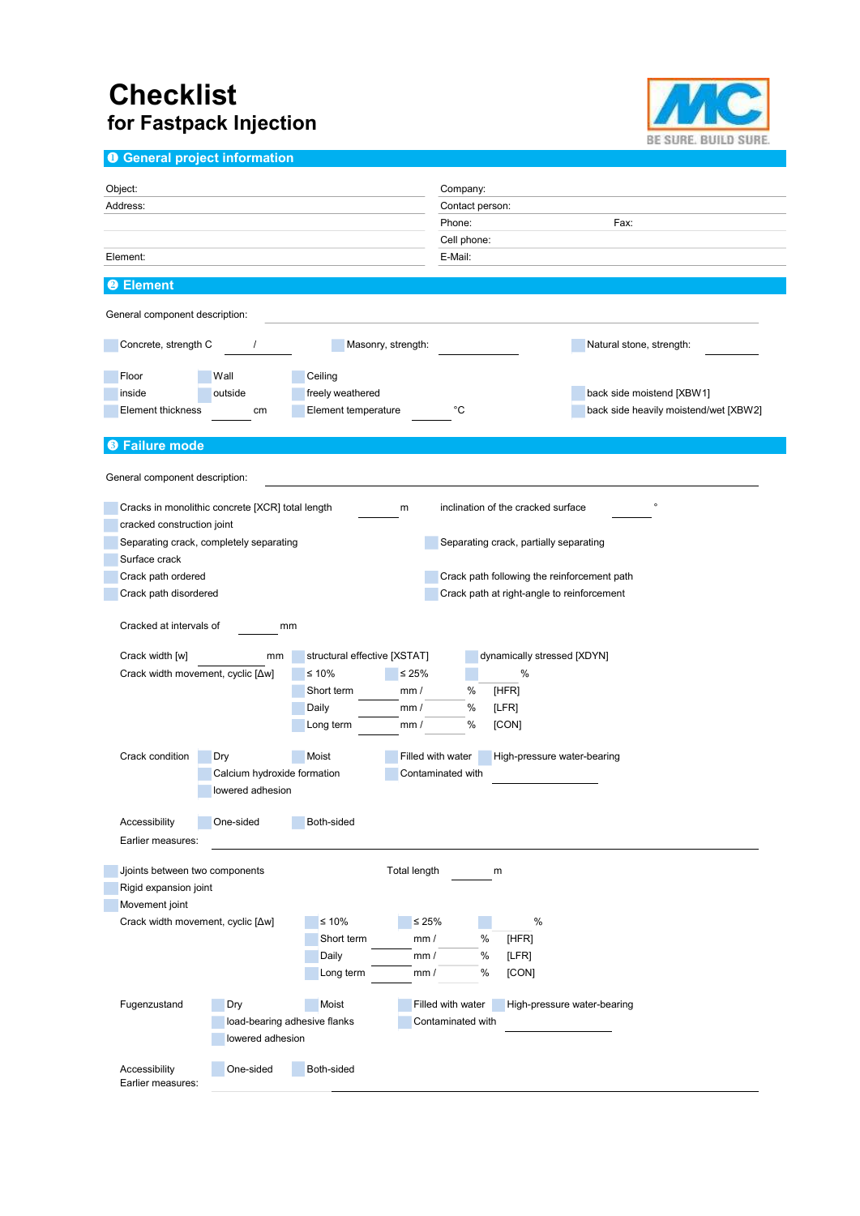## **Checklist** for Fastpack Injection



**O** General project information

| Object:                                                                                                |                              | Company:                                         |
|--------------------------------------------------------------------------------------------------------|------------------------------|--------------------------------------------------|
| Address:                                                                                               |                              | Contact person:                                  |
|                                                                                                        |                              | Fax:<br>Phone:                                   |
|                                                                                                        |                              | Cell phone:                                      |
| Element:                                                                                               |                              | E-Mail:                                          |
| <b>Element</b><br>2)                                                                                   |                              |                                                  |
| General component description:                                                                         |                              |                                                  |
| Concrete, strength C<br>$\prime$                                                                       | Masonry, strength:           | Natural stone, strength:                         |
| Floor<br>Wall                                                                                          | Ceiling                      |                                                  |
| inside<br>outside                                                                                      | freely weathered             | back side moistend [XBW1]                        |
| <b>Element thickness</b><br>cm                                                                         | Element temperature          | °C<br>back side heavily moistend/wet [XBW2]      |
| <b>O</b> Failure mode                                                                                  |                              |                                                  |
| General component description:                                                                         |                              |                                                  |
| inclination of the cracked surface<br>$\circ$<br>Cracks in monolithic concrete [XCR] total length<br>m |                              |                                                  |
| cracked construction joint                                                                             |                              |                                                  |
| Separating crack, completely separating<br>Separating crack, partially separating                      |                              |                                                  |
| Surface crack                                                                                          |                              |                                                  |
| Crack path ordered<br>Crack path following the reinforcement path                                      |                              |                                                  |
| Crack path disordered<br>Crack path at right-angle to reinforcement                                    |                              |                                                  |
| Cracked at intervals of<br>mm                                                                          |                              |                                                  |
| Crack width [w]<br>mm                                                                                  | structural effective [XSTAT] | dynamically stressed [XDYN]                      |
| Crack width movement, cyclic [Aw]                                                                      | ≤ 10%<br>≤ 25%               | $\%$                                             |
|                                                                                                        | Short term<br>mm/            | %<br>[HFR]                                       |
|                                                                                                        | Daily<br>mm/                 | %<br>[LFR]                                       |
|                                                                                                        | Long term<br>mm/             | %<br>[CON]                                       |
| Crack condition                                                                                        | Moist                        | Filled with water                                |
| Dry                                                                                                    |                              | High-pressure water-bearing                      |
| Calcium hydroxide formation<br>Contaminated with<br>lowered adhesion                                   |                              |                                                  |
| Accessibility<br>One-sided                                                                             | Both-sided                   |                                                  |
| Earlier measures:                                                                                      |                              |                                                  |
| Jjoints between two components<br>Total length<br>m                                                    |                              |                                                  |
| Rigid expansion joint                                                                                  |                              |                                                  |
| Movement joint                                                                                         |                              |                                                  |
| Crack width movement, cyclic [Aw]                                                                      | $≤ 10%$                      | $\leq 25\%$<br>%                                 |
|                                                                                                        | Short term<br>mm/            | %<br>[HFR]                                       |
|                                                                                                        | Daily<br>mm/                 | %<br>[LFR]                                       |
|                                                                                                        | Long term<br>mm/             | %<br>[CON]                                       |
| Fugenzustand<br>Dry                                                                                    | Moist                        | Filled with water<br>High-pressure water-bearing |
| load-bearing adhesive flanks                                                                           |                              | Contaminated with                                |
| lowered adhesion                                                                                       |                              |                                                  |
|                                                                                                        |                              |                                                  |
| Accessibility<br>One-sided<br>Earlier measures:                                                        | Both-sided                   |                                                  |